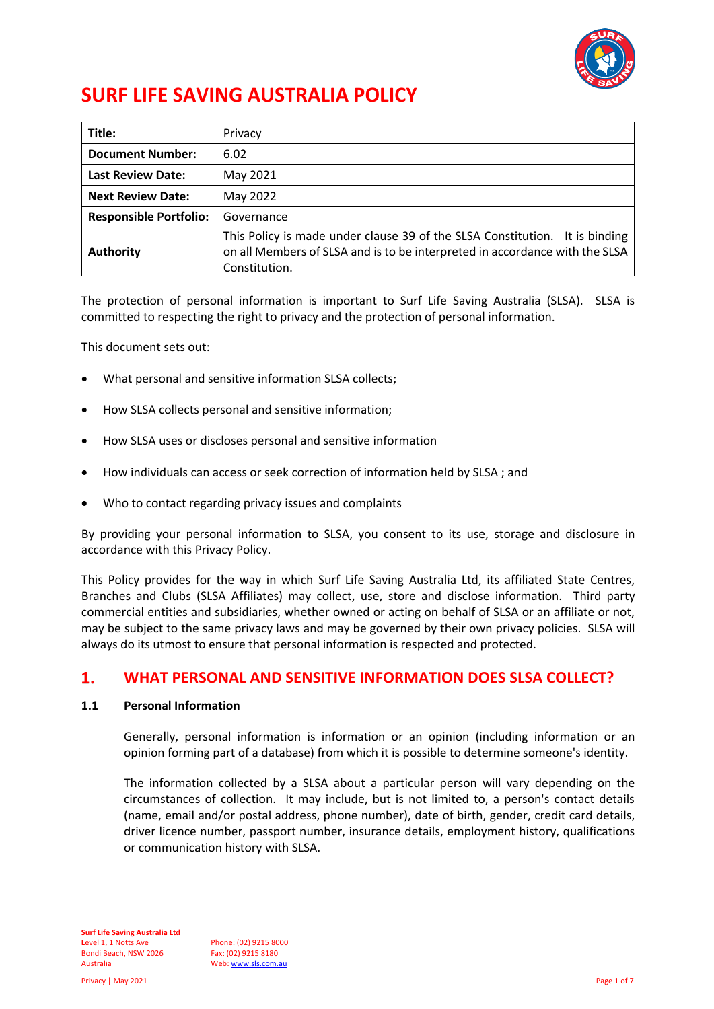

# **SURF LIFE SAVING AUSTRALIA POLICY**

| Title:                        | Privacy                                                                                                                                                                     |
|-------------------------------|-----------------------------------------------------------------------------------------------------------------------------------------------------------------------------|
| <b>Document Number:</b>       | 6.02                                                                                                                                                                        |
| <b>Last Review Date:</b>      | May 2021                                                                                                                                                                    |
| <b>Next Review Date:</b>      | May 2022                                                                                                                                                                    |
| <b>Responsible Portfolio:</b> | Governance                                                                                                                                                                  |
| <b>Authority</b>              | This Policy is made under clause 39 of the SLSA Constitution. It is binding<br>on all Members of SLSA and is to be interpreted in accordance with the SLSA<br>Constitution. |

The protection of personal information is important to Surf Life Saving Australia (SLSA). SLSA is committed to respecting the right to privacy and the protection of personal information.

This document sets out:

- What personal and sensitive information SLSA collects;
- How SLSA collects personal and sensitive information;
- How SLSA uses or discloses personal and sensitive information
- How individuals can access or seek correction of information held by SLSA ; and
- Who to contact regarding privacy issues and complaints

By providing your personal information to SLSA, you consent to its use, storage and disclosure in accordance with this Privacy Policy.

This Policy provides for the way in which Surf Life Saving Australia Ltd, its affiliated State Centres, Branches and Clubs (SLSA Affiliates) may collect, use, store and disclose information. Third party commercial entities and subsidiaries, whether owned or acting on behalf of SLSA or an affiliate or not, may be subject to the same privacy laws and may be governed by their own privacy policies. SLSA will always do its utmost to ensure that personal information is respected and protected.

#### $\mathbf{1}$ . **WHAT PERSONAL AND SENSITIVE INFORMATION DOES SLSA COLLECT?**

## **1.1 Personal Information**

Generally, personal information is information or an opinion (including information or an opinion forming part of a database) from which it is possible to determine someone's identity.

The information collected by a SLSA about a particular person will vary depending on the circumstances of collection. It may include, but is not limited to, a person's contact details (name, email and/or postal address, phone number), date of birth, gender, credit card details, driver licence number, passport number, insurance details, employment history, qualifications or communication history with SLSA.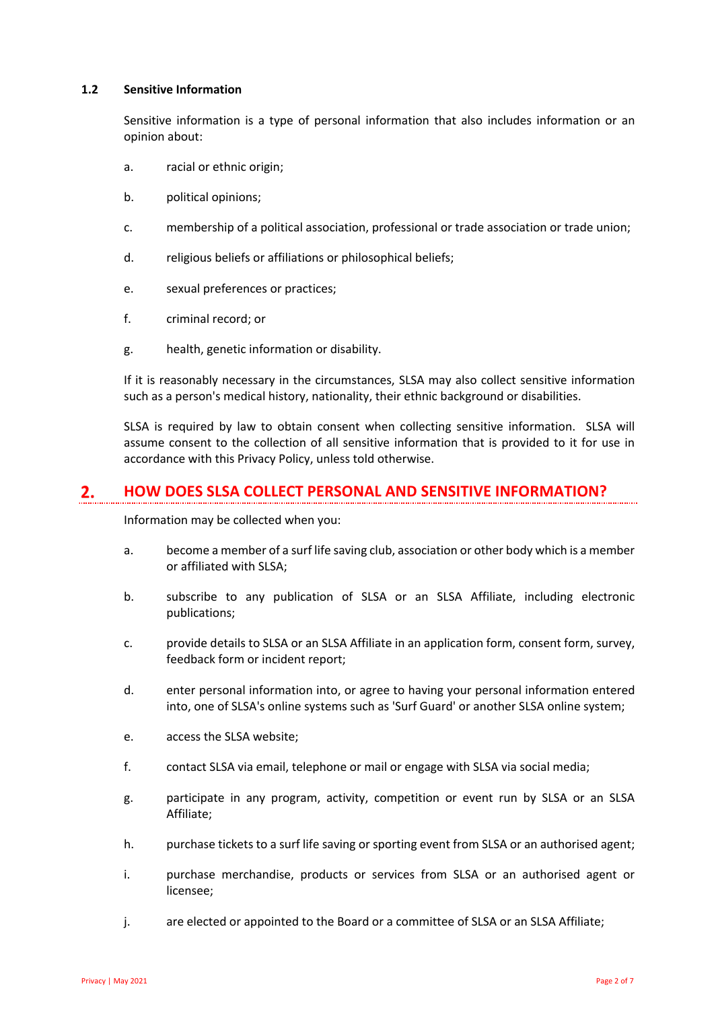### **1.2 Sensitive Information**

Sensitive information is a type of personal information that also includes information or an opinion about:

- a. racial or ethnic origin;
- b. political opinions;
- c. membership of a political association, professional or trade association or trade union;
- d. religious beliefs or affiliations or philosophical beliefs;
- e. sexual preferences or practices;
- f. criminal record; or
- g. health, genetic information or disability.

If it is reasonably necessary in the circumstances, SLSA may also collect sensitive information such as a person's medical history, nationality, their ethnic background or disabilities.

SLSA is required by law to obtain consent when collecting sensitive information. SLSA will assume consent to the collection of all sensitive information that is provided to it for use in accordance with this Privacy Policy, unless told otherwise.

#### $2.$ **HOW DOES SLSA COLLECT PERSONAL AND SENSITIVE INFORMATION?**

Information may be collected when you:

- a. become a member of a surf life saving club, association or other body which is a member or affiliated with SLSA;
- b. subscribe to any publication of SLSA or an SLSA Affiliate, including electronic publications;
- c. provide details to SLSA or an SLSA Affiliate in an application form, consent form, survey, feedback form or incident report;
- d. enter personal information into, or agree to having your personal information entered into, one of SLSA's online systems such as 'Surf Guard' or another SLSA online system;
- e. access the SLSA website;
- f. contact SLSA via email, telephone or mail or engage with SLSA via social media;
- g. participate in any program, activity, competition or event run by SLSA or an SLSA Affiliate;
- h. purchase tickets to a surf life saving or sporting event from SLSA or an authorised agent;
- i. purchase merchandise, products or services from SLSA or an authorised agent or licensee;
- j. are elected or appointed to the Board or a committee of SLSA or an SLSA Affiliate;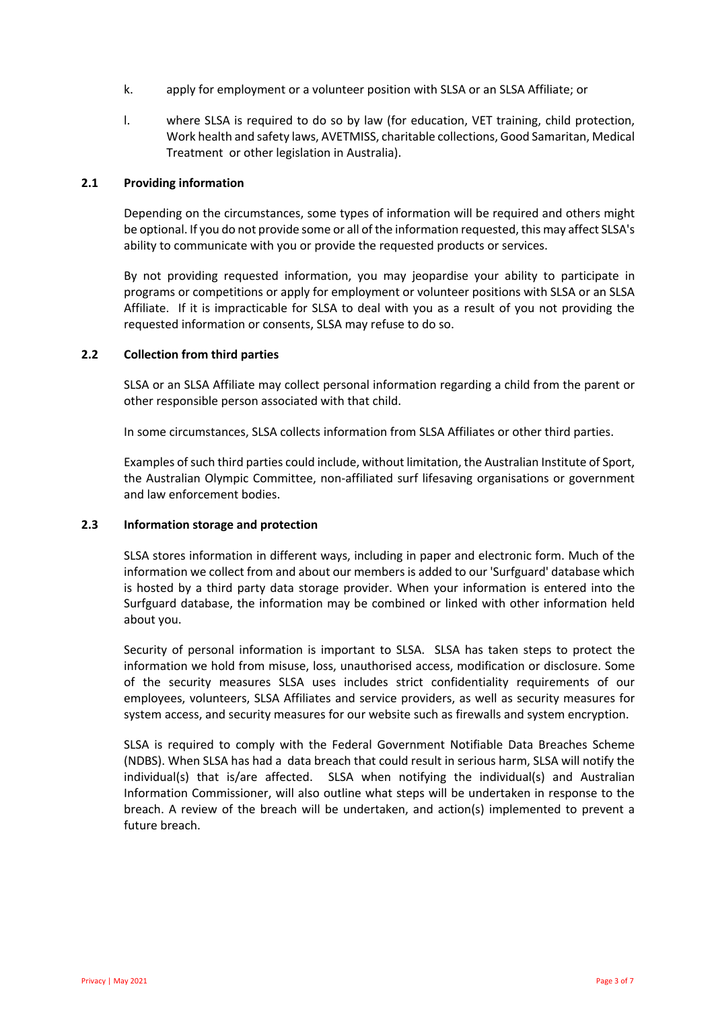- k. apply for employment or a volunteer position with SLSA or an SLSA Affiliate; or
- l. where SLSA is required to do so by law (for education, VET training, child protection, Work health and safety laws, AVETMISS, charitable collections, Good Samaritan, Medical Treatment or other legislation in Australia).

#### **2.1 Providing information**

Depending on the circumstances, some types of information will be required and others might be optional. If you do not provide some or all of the information requested, this may affect SLSA's ability to communicate with you or provide the requested products or services.

By not providing requested information, you may jeopardise your ability to participate in programs or competitions or apply for employment or volunteer positions with SLSA or an SLSA Affiliate. If it is impracticable for SLSA to deal with you as a result of you not providing the requested information or consents, SLSA may refuse to do so.

#### **2.2 Collection from third parties**

SLSA or an SLSA Affiliate may collect personal information regarding a child from the parent or other responsible person associated with that child.

In some circumstances, SLSA collects information from SLSA Affiliates or other third parties.

Examples of such third parties could include, without limitation, the Australian Institute of Sport, the Australian Olympic Committee, non-affiliated surf lifesaving organisations or government and law enforcement bodies.

#### **2.3 Information storage and protection**

SLSA stores information in different ways, including in paper and electronic form. Much of the information we collect from and about our members is added to our 'Surfguard' database which is hosted by a third party data storage provider. When your information is entered into the Surfguard database, the information may be combined or linked with other information held about you.

Security of personal information is important to SLSA. SLSA has taken steps to protect the information we hold from misuse, loss, unauthorised access, modification or disclosure. Some of the security measures SLSA uses includes strict confidentiality requirements of our employees, volunteers, SLSA Affiliates and service providers, as well as security measures for system access, and security measures for our website such as firewalls and system encryption.

SLSA is required to comply with the Federal Government Notifiable Data Breaches Scheme (NDBS). When SLSA has had a data breach that could result in serious harm, SLSA will notify the individual(s) that is/are affected. SLSA when notifying the individual(s) and Australian Information Commissioner, will also outline what steps will be undertaken in response to the breach. A review of the breach will be undertaken, and action(s) implemented to prevent a future breach.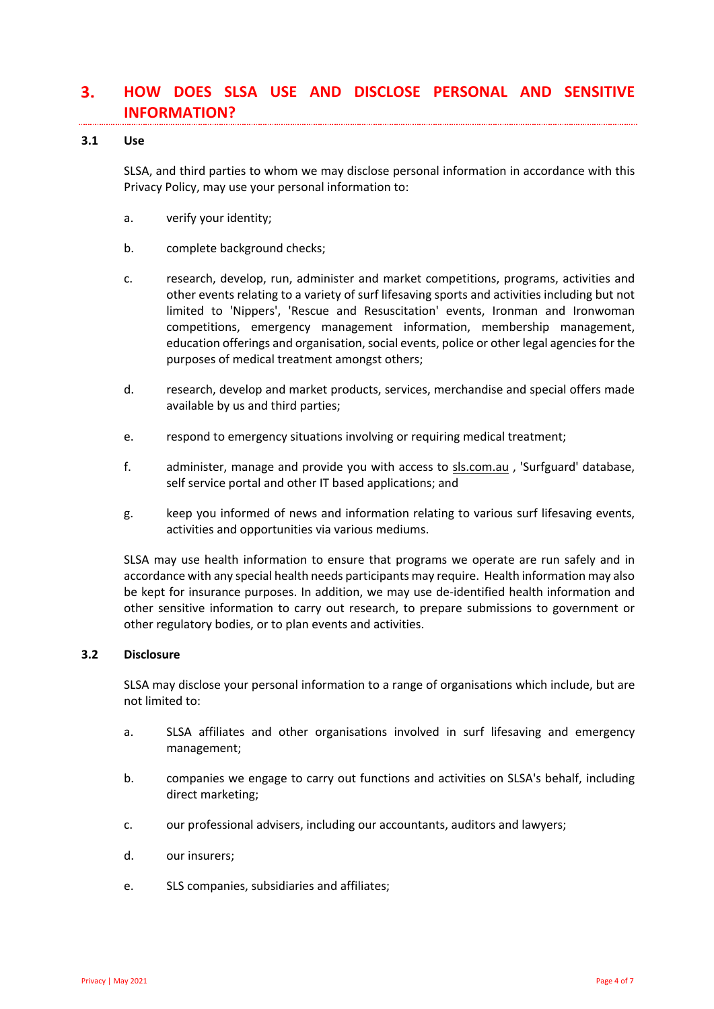#### $3.$ **HOW DOES SLSA USE AND DISCLOSE PERSONAL AND SENSITIVE INFORMATION?**

#### **3.1 Use**

SLSA, and third parties to whom we may disclose personal information in accordance with this Privacy Policy, may use your personal information to:

- a. verify your identity;
- b. complete background checks;
- c. research, develop, run, administer and market competitions, programs, activities and other events relating to a variety of surf lifesaving sports and activities including but not limited to 'Nippers', 'Rescue and Resuscitation' events, Ironman and Ironwoman competitions, emergency management information, membership management, education offerings and organisation, social events, police or other legal agencies for the purposes of medical treatment amongst others;
- d. research, develop and market products, services, merchandise and special offers made available by us and third parties;
- e. respond to emergency situations involving or requiring medical treatment;
- f. administer, manage and provide you with access to sls.com.au , 'Surfguard' database, self service portal and other IT based applications; and
- g. keep you informed of news and information relating to various surf lifesaving events, activities and opportunities via various mediums.

SLSA may use health information to ensure that programs we operate are run safely and in accordance with any special health needs participants may require. Health information may also be kept for insurance purposes. In addition, we may use de-identified health information and other sensitive information to carry out research, to prepare submissions to government or other regulatory bodies, or to plan events and activities.

## **3.2 Disclosure**

SLSA may disclose your personal information to a range of organisations which include, but are not limited to:

- a. SLSA affiliates and other organisations involved in surf lifesaving and emergency management;
- b. companies we engage to carry out functions and activities on SLSA's behalf, including direct marketing;
- c. our professional advisers, including our accountants, auditors and lawyers;
- d. our insurers;
- e. SLS companies, subsidiaries and affiliates;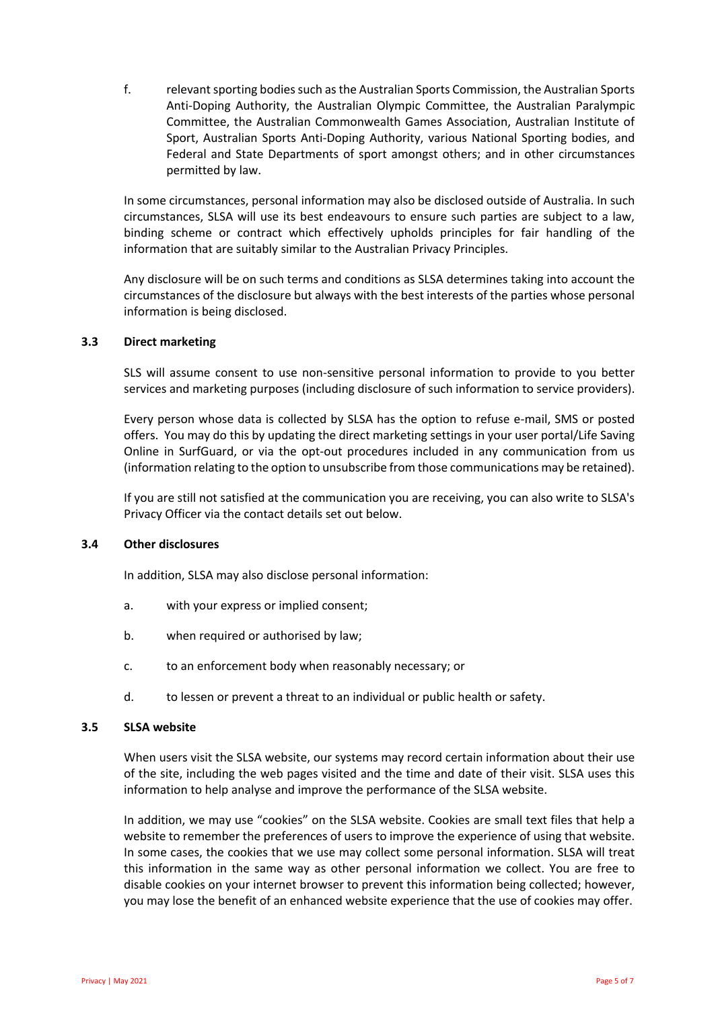f. relevant sporting bodies such as the Australian Sports Commission, the Australian Sports Anti-Doping Authority, the Australian Olympic Committee, the Australian Paralympic Committee, the Australian Commonwealth Games Association, Australian Institute of Sport, Australian Sports Anti-Doping Authority, various National Sporting bodies, and Federal and State Departments of sport amongst others; and in other circumstances permitted by law.

In some circumstances, personal information may also be disclosed outside of Australia. In such circumstances, SLSA will use its best endeavours to ensure such parties are subject to a law, binding scheme or contract which effectively upholds principles for fair handling of the information that are suitably similar to the Australian Privacy Principles.

Any disclosure will be on such terms and conditions as SLSA determines taking into account the circumstances of the disclosure but always with the best interests of the parties whose personal information is being disclosed.

### **3.3 Direct marketing**

SLS will assume consent to use non-sensitive personal information to provide to you better services and marketing purposes (including disclosure of such information to service providers).

Every person whose data is collected by SLSA has the option to refuse e-mail, SMS or posted offers. You may do this by updating the direct marketing settings in your user portal/Life Saving Online in SurfGuard, or via the opt-out procedures included in any communication from us (information relating to the option to unsubscribe from those communications may be retained).

If you are still not satisfied at the communication you are receiving, you can also write to SLSA's Privacy Officer via the contact details set out below.

## **3.4 Other disclosures**

In addition, SLSA may also disclose personal information:

- a. with your express or implied consent;
- b. when required or authorised by law;
- c. to an enforcement body when reasonably necessary; or
- d. to lessen or prevent a threat to an individual or public health or safety.

## **3.5 SLSA website**

When users visit the SLSA website, our systems may record certain information about their use of the site, including the web pages visited and the time and date of their visit. SLSA uses this information to help analyse and improve the performance of the SLSA website.

In addition, we may use "cookies" on the SLSA website. Cookies are small text files that help a website to remember the preferences of users to improve the experience of using that website. In some cases, the cookies that we use may collect some personal information. SLSA will treat this information in the same way as other personal information we collect. You are free to disable cookies on your internet browser to prevent this information being collected; however, you may lose the benefit of an enhanced website experience that the use of cookies may offer.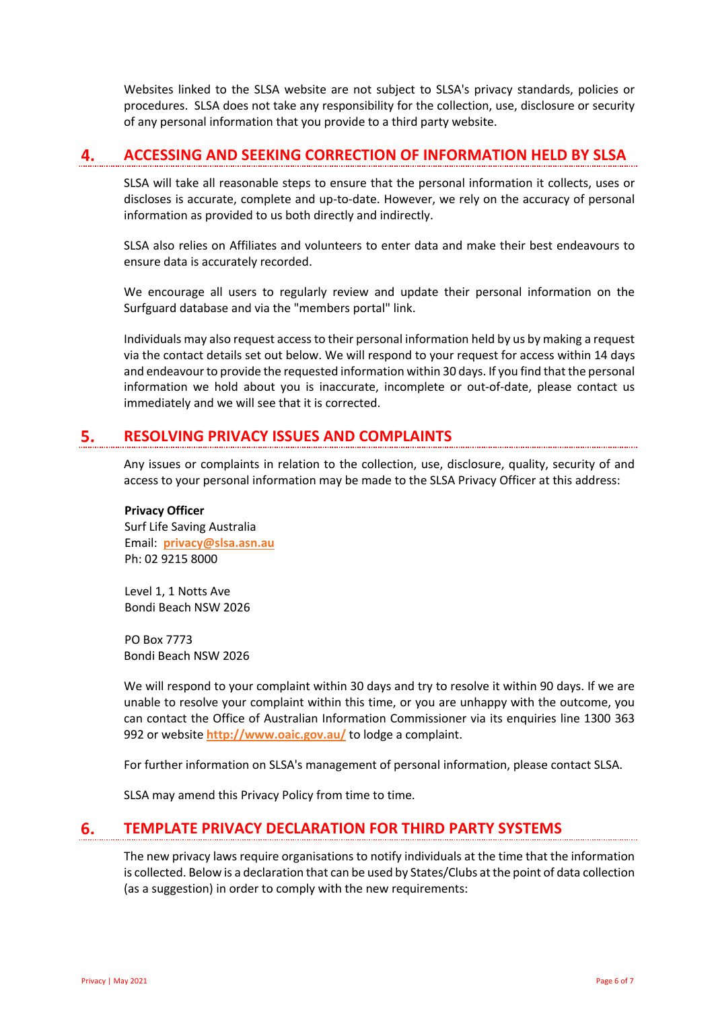Websites linked to the SLSA website are not subject to SLSA's privacy standards, policies or procedures. SLSA does not take any responsibility for the collection, use, disclosure or security of any personal information that you provide to a third party website.

#### **ACCESSING AND SEEKING CORRECTION OF INFORMATION HELD BY SLSA** 4.

SLSA will take all reasonable steps to ensure that the personal information it collects, uses or discloses is accurate, complete and up-to-date. However, we rely on the accuracy of personal information as provided to us both directly and indirectly.

SLSA also relies on Affiliates and volunteers to enter data and make their best endeavours to ensure data is accurately recorded.

We encourage all users to regularly review and update their personal information on the Surfguard database and via the "members portal" link.

Individuals may also request access to their personal information held by us by making a request via the contact details set out below. We will respond to your request for access within 14 days and endeavour to provide the requested information within 30 days. If you find that the personal information we hold about you is inaccurate, incomplete or out-of-date, please contact us immediately and we will see that it is corrected.

#### **RESOLVING PRIVACY ISSUES AND COMPLAINTS** 5.

Any issues or complaints in relation to the collection, use, disclosure, quality, security of and access to your personal information may be made to the SLSA Privacy Officer at this address:

### **Privacy Officer**

Surf Life Saving Australia Email: **privacy@slsa.asn.au** Ph: 02 9215 8000

Level 1, 1 Notts Ave Bondi Beach NSW 2026

PO Box 7773 Bondi Beach NSW 2026

We will respond to your complaint within 30 days and try to resolve it within 90 days. If we are unable to resolve your complaint within this time, or you are unhappy with the outcome, you can contact the Office of Australian Information Commissioner via its enquiries line 1300 363 992 or website **http://www.oaic.gov.au/** to lodge a complaint.

For further information on SLSA's management of personal information, please contact SLSA.

SLSA may amend this Privacy Policy from time to time.

#### 6. **TEMPLATE PRIVACY DECLARATION FOR THIRD PARTY SYSTEMS**

The new privacy laws require organisations to notify individuals at the time that the information is collected. Below is a declaration that can be used by States/Clubs at the point of data collection (as a suggestion) in order to comply with the new requirements: